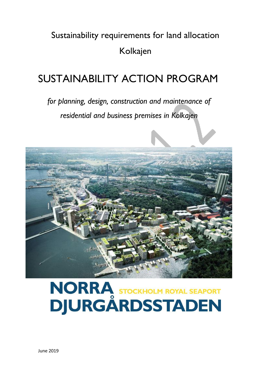## Sustainability requirements for land allocation Kolkajen

## SUSTAINABILITY ACTION PROGRAM

*for planning, design, construction and maintenance of residential and business premises in Kolkajen*



# NORRA STOCKHOLM ROYAL SEAPORT<br>DJURGÅRDSSTADEN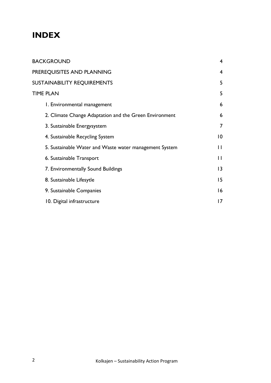### **INDEX**

| BACKGROUND                                             | $\overline{4}$  |
|--------------------------------------------------------|-----------------|
| PREREQUISITES AND PLANNING                             | $\overline{4}$  |
| SUSTAINABILITY REQUIREMENTS                            | 5               |
| TIME PLAN                                              | 5               |
| I. Environmental management                            | 6               |
| 2. Climate Change Adaptation and the Green Environment | 6               |
| 3. Sustainable Energysystem                            | 7               |
| 4. Sustainable Recycling System                        | $\overline{0}$  |
| 5. Sustainable Water and Waste water management System | П               |
| 6. Sustainable Transport                               | $\mathsf{H}$    |
| 7. Environmentally Sound Buildings                     | 3               |
| 8. Sustainable Lifesytle                               | 15              |
| 9. Sustainable Companies                               | 16              |
| 10. Digital infrastructure                             | $\overline{17}$ |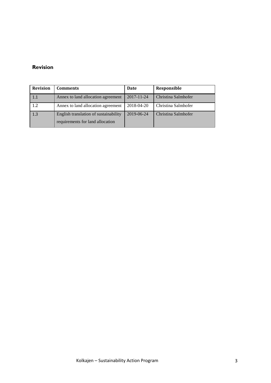#### **Revision**

| <b>Revision</b> | <b>Comments</b>                                                           | Date       | Responsible         |
|-----------------|---------------------------------------------------------------------------|------------|---------------------|
| 1.1             | Annex to land allocation agreement                                        | 2017-11-24 | Christina Salmhofer |
| 1.2             | Annex to land allocation agreement                                        | 2018-04-20 | Christina Salmhofer |
| 1.3             | English translation of sustainability<br>requirements for land allocation | 2019-06-24 | Christina Salmhofer |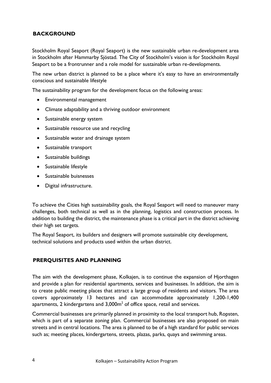#### **BACKGROUND**

Stockholm Royal Seaport (Royal Seaport) is the new sustainable urban re-development area in Stockholm after Hammarby Sjöstad. The City of Stockholm's vision is for Stockholm Royal Seaport to be a frontrunner and a role model for sustainable urban re-developments.

The new urban district is planned to be a place where it's easy to have an environmentally conscious and sustainable lifestyle

The sustainability program for the development focus on the following areas:

- Environmental management
- Climate adaptability and a thriving outdoor environment
- Sustainable energy system
- Sustainable resource use and recycling
- Sustainable water and drainage system
- Sustainable transport
- Sustainable buildings
- Sustainable lifestyle
- Sustainable buisnesses
- Digital infrastructure.

To achieve the Cities high sustainability goals, the Royal Seaport will need to maneuver many challenges, both technical as well as in the planning, logistics and construction process. In addition to building the district, the maintenance phase is a critical part in the district achieving their high set targets.

The Royal Seaport, its builders and designers will promote sustainable city development, technical solutions and products used within the urban district.

#### **PRERQUISITES AND PLANNING**

The aim with the development phase, Kolkajen, is to continue the expansion of Hjorthagen and provide a plan for residential apartments, services and businesses. In addition, the aim is to create public meeting places that attract a large group of residents and visitors. The area covers approximately 13 hectares and can accommodate approximately 1,200-1,400 apartments, 2 kindergartens and 3,000 $\mathsf{m}^2$  of office space, retail and services.

Commercial businesses are primarily planned in proximity to the local transport hub, Ropsten, which is part of a separate zoning plan. Commercial businesses are also proposed on main streets and in central locations. The area is planned to be of a high standard for public services such as; meeting places, kindergartens, streets, plazas, parks, quays and swimming areas.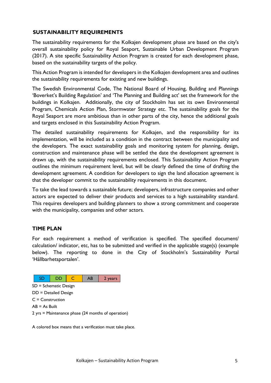#### **SUSTAINABILITY REQUIREMENTS**

The sustainability requirements for the Kolkajen development phase are based on the city's overall sustainability policy for Royal Seaport, Sustainable Urban Development Program (2017). A site specific Sustainability Action Program is created for each development phase, based on the sustainability targets of the policy.

This Action Program is intended for developers in the Kolkajen development area and outlines the sustainability requirements for existing and new buildings.

The Swedish Environmental Code, The National Board of Housing, Building and Plannings 'Boverket's Building Regulation' and 'The Planning and Building act' set the framework for the buildings in Kolkajen. Additionally, the city of Stockholm has set its own Environmental Program, Chemicals Action Plan, Stormwater Strategy etc. The sustainability goals for the Royal Seaport are more ambitious than in other parts of the city, hence the additional goals and targets enclosed in this Sustainability Action Program.

The detailed sustainability requirements for Kolkajen, and the responsibility for its implementation, will be included as a condition in the contract between the municipality and the developers. The exact sustainability goals and monitoring system for planning, design, construction and maintenance phase will be settled the date the development agreement is drawn up, with the sustainability requirements enclosed. This Sustainability Action Program outlines the minimum requirement level, but will be clearly defined the time of drafting the development agreement. A condition for developers to sign the land allocation agreement is that the developer commit to the sustainability requirements in this document.

To take the lead towards a sustainable future; developers, infrastructure companies and other actors are expected to deliver their products and services to a high sustainability standard. This requires developers and building planners to show a strong commitment and cooperate with the municipality, companies and other actors.

#### **TIME PLAN**

For each requirement a method of verification is specified. The specified document/ calculation/ indicator, etc, has to be submitted and verified in the applicable stage(s) (example below). The reporting to done in the City of Stockholm's Sustainability Portal 'Hållbarhetsportalen'.



A colored box means that a verification must take place.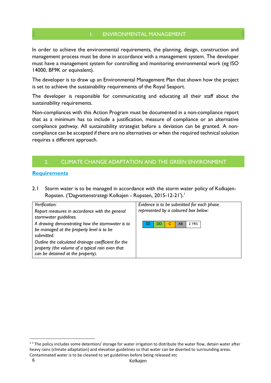#### 1. ENVIRONMENTAL MANAGEMENT

In order to achieve the environmental requirements, the planning, design, construction and management process must be done in accordance with a management system. The developer must have a management system for controlling and monitoring environmental work (eg ISO 14000, BF9K or equivalent).

The developer is to draw up an Environmental Management Plan that shown how the project is set to achieve the sustainability requirements of the Royal Seaport.

The developer is responsible for communicating and educating all their staff about the sustainability requirements.

Non-compliances with this Action Program must be documented in a non-compliance report that as a minimum has to include a justification, measure of compliance or an alternative compliance pathway. All sustainability strategist before a deviation can be granted. A noncompliance can be accepted if there are no alternatives or when the required technical solution requires a different approach.

#### 2. CLIMATE CHANGE ADAPTATION AND THE GREEN ENVIRONMENT

#### **Requirements**

2.1 Storm water is to be managed in accordance with the storm water policy of Kolkajen-Ropsten. ('Dagvattenstrategi Kolkajen - Ropsten, 2015-12-21'). 1

| Verification:                                                                                                                                | Evidence is to be submitted for each phase |
|----------------------------------------------------------------------------------------------------------------------------------------------|--------------------------------------------|
| Report measures in accordance with the general<br>stormwater guidelines.                                                                     | represented by a coloured box below:       |
| A drawing demonstrating how the stormwater is to<br>be managed at the property level is to be<br>submitted                                   | 2 YRS<br>SD<br>AB<br>DD                    |
| Outline the calculated drainage coefficient for the<br>property (the volume of a typical rain even that<br>can be detained at the property). |                                            |

 $\overline{\phantom{a}}$ 

<sup>&</sup>lt;sup>11</sup> The policy includes some detention/ storage for water irrigation to distribute the water flow, detain water after heavy rains (climate adaptation) and elevation guidelines so that water can be diverted to surrounding areas. Contaminated water is to be cleaned to set guidelines before being released etc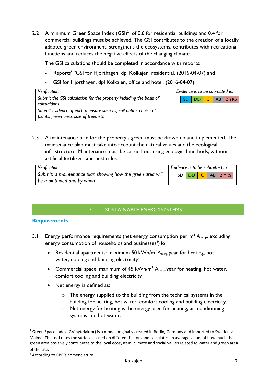2.2 A minimum Green Space Index  $(GSI)^2$  of 0.6 for residential buildings and 0.4 for commercial buildings must be achieved. The GSI contributes to the creation of a locally adapted green environment, strengthens the ecosystems, contributes with recreational functions and reduces the negative effects of the changing climate.

The GSI calculations should be completed in accordance with reports:

- Reports' "GSI for Hjorthagen, dpl Kolkajen, residential, (2016-04-07) and
- GSI for Hjorthagen, dpl Kolkajen, office and hotel, (2016-04-07).

| Verification:                                                                                           | Evidence is to be submitted in: |  |  |  |  |  |  |
|---------------------------------------------------------------------------------------------------------|---------------------------------|--|--|--|--|--|--|
| Submit the GSI calculation for the property including the basis of<br>calcualtions.                     | SD DD C AB 2 YRS                |  |  |  |  |  |  |
| Submit evidence of each measure such as; soil depth, choice of<br>plants, green area, size of trees etc |                                 |  |  |  |  |  |  |

2.3 A maintenance plan for the property's green must be drawn up and implemented. The maintenance plan must take into account the natural values and the ecological infrastructure. Maintenance must be carried out using ecological methods, without artificial fertilizers and pesticides.

| Verification:                                              | Evidence is to be submitted in: |  |  |  |  |                  |
|------------------------------------------------------------|---------------------------------|--|--|--|--|------------------|
| Submit: a maintenance plan showing how the green area will |                                 |  |  |  |  | SD DD C AB 2 YRS |
| be maintained and by whom.                                 |                                 |  |  |  |  |                  |

#### 3. SUSTAINABLE ENERGYSYSTEMS

#### **Requirements**

- 3.1 Energy performance requirements (net energy consumption per  $m^2 A_{temp}$ , excluding energy consumption of households and businesses<sup>3</sup>) for:
	- Residential apartments: maximum 50 kWh/m<sup>2</sup>  $A_{temp}$  year for heating, hot water, cooling and building electricity<sup>3</sup>
	- Commercial space: maximum of 45 kWh/m<sup>2</sup>  $A_{temp}$  year for heating, hot water, comfort cooling and building electricity
	- Net energy is defined as:
		- o The energy supplied to the building from the technical systems in the building for heating, hot water, comfort cooling and building electricity.
		- o Net energy for heating is the energy used for heating, air conditioning systems and hot water.

 $\overline{a}$ 

 $2$  Green Space Index (Grönytefaktor) is a model originally created in Berlin, Germany and imported to Sweden via Malmö. The tool rates the surfaces based on different factors and calculates an average value, of how much the green area positively contributes to the local ecosystem, climate and social values related to water and green area of the site*.*

<sup>&</sup>lt;sup>3</sup> According to BBR's nomenclature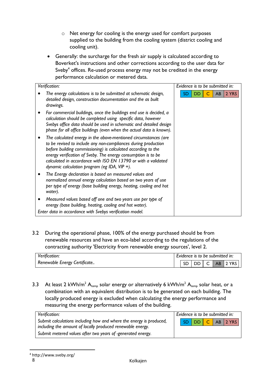- o Net energy for cooling is the energy used for comfort purposes supplied to the building from the cooling system (district cooling and cooling unit).
- Generally: the surcharge for the fresh air supply is calculated according to Boverket's instructions and other corrections according to the user data for Sveby $^4$  offices. Re-used process energy may not be credited in the energy performance calculation or metered data.

| Verification:                                                                                                                                                                                                                                                                                                                                                                         | Evidence is to be submitted in: |
|---------------------------------------------------------------------------------------------------------------------------------------------------------------------------------------------------------------------------------------------------------------------------------------------------------------------------------------------------------------------------------------|---------------------------------|
| The energy calculations is to be submitted at schematic design,<br>detailed design, construction documentation and the as built<br>drawings.                                                                                                                                                                                                                                          | AB<br>2 YRS<br>SD<br>DD         |
| For commercial buildings, once the buildings end use is decided, a<br>calculation should be completed using specific data, however<br>Svebys office data should be used in schematic and detailed design<br>phase for all office buildings (even when the actual data is known).                                                                                                      |                                 |
| The calculated energy in the above-mentioned circumstances (are<br>to be revised to include any non-compliances during production<br>before building commissioning) is calculated according to the<br>energy verification of Sveby. The energy consumption is to be<br>calculated in accordance with ISO EN 13790 or with a validated<br>dynamic calculation program (eg IDA, VIP +). |                                 |
| The Energy declaration is based on measured values and<br>normalized annual energy calculation based on two years of use<br>per type of energy (base building energy, heating, cooling and hot<br>water).                                                                                                                                                                             |                                 |
| Measured values based off one and two years use per type of<br>energy (base building, heating, cooling and hot water).<br>Enter data in accordance with Svebys verification model.                                                                                                                                                                                                    |                                 |

3.2 During the operational phase, 100% of the energy purchased should be from renewable resources and have an eco-label according to the regulations of the contracting authority 'Electricity from renewable energy sources', level 2.

| Verification:                | Evidence is to be submitted in: |  |  |  |  |                  |
|------------------------------|---------------------------------|--|--|--|--|------------------|
| Renewable Energy Certificate |                                 |  |  |  |  | SD DD C AB 2 YRS |

3.3 At least 2 kWh/m<sup>2</sup> A<sub>temp</sub> solar energy or alternatively 6 kWh/m<sup>2</sup> A<sub>temp</sub> solar heat, or a combination with an equivalent distribution is to be generated on each building. The locally produced energy is excluded when calculating the energy performance and measuring the energy performance values of the building.

| Verification:                                                                                                                                                                                    | Evidence is to be submitted in: |  |  |  |  |  |  |  |
|--------------------------------------------------------------------------------------------------------------------------------------------------------------------------------------------------|---------------------------------|--|--|--|--|--|--|--|
| Submit calculations including how and where the energy is produced,<br>including the amount of locally produced renewable energy.<br>Submit metered values after two years of -generated energy. | SD   DD   C   AB   2 YRS        |  |  |  |  |  |  |  |

<sup>4</sup> <http://www.sveby.org/>

 $\overline{a}$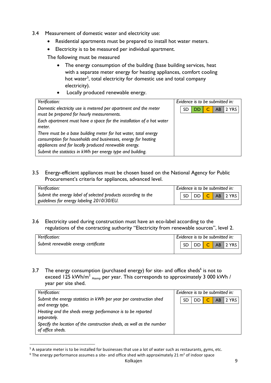- 3.4 Measurement of domestic water and electricity use:
	- Residential apartments must be prepared to install hot water meters.
	- Electricity is to be measured per individual apartment.

The following must be measured

- The energy consumption of the building (base building services, heat with a separate meter energy for heating appliances, comfort cooling hot water<sup>5</sup>, total electricity for domestic use and total company electricity).
- Locally produced renewable energy.

| Verification:                                                                                                                                                                                                                                           | Evidence is to be submitted in: |  |  |  |  |  |
|---------------------------------------------------------------------------------------------------------------------------------------------------------------------------------------------------------------------------------------------------------|---------------------------------|--|--|--|--|--|
| Domestic electricity use is metered per apartment and the meter<br>must be prepared for hourly measurements.                                                                                                                                            | 2 YRS<br>AB<br>SD<br>40P        |  |  |  |  |  |
| Each apartment must have a space for the installation of a hot water<br>meter.                                                                                                                                                                          |                                 |  |  |  |  |  |
| There must be a base building meter for hot water, total energy<br>consumption for households and businesses, energy for heating<br>appliances and for locally produced renewable energy.<br>Submit the statistics in kWh per energy type and building. |                                 |  |  |  |  |  |

3.5 Energy-efficient appliances must be chosen based on the National Agency for Public Procurement's criteria for appliances, advanced level.

| Verification:                                                 | Evidence is to be submitted in: |  |  |  |  |                  |
|---------------------------------------------------------------|---------------------------------|--|--|--|--|------------------|
| Submit the energy label of selected products according to the |                                 |  |  |  |  | SD DD C AB 2 YRS |
| guidelines for energy labeling 2010/30/EU.                    |                                 |  |  |  |  |                  |

3.6 Electricity used during construction must have an eco-label according to the regulations of the contracting authority "Electricity from renewable sources", level 2.

| Verification:                       | Evidence is to be submitted in: |  |  |  |  |  |
|-------------------------------------|---------------------------------|--|--|--|--|--|
| Submit renewable energy certificate | DD<br>AB 2 YRS                  |  |  |  |  |  |
|                                     |                                 |  |  |  |  |  |

3.7 The energy consumption (purchased energy) for site- and office sheds<sup>6</sup> is not to exceed 125 kWh/m<sup>2</sup>  $_{\text{Atemp}}$  per year. This corresponds to approximately 3 000 kWh / year per site shed.

| Verification:                                                                             | Evidence is to be submitted in: |    |    |  |    |       |
|-------------------------------------------------------------------------------------------|---------------------------------|----|----|--|----|-------|
| Submit the energy statistics in kWh per year per construction shed<br>and energy type.    |                                 | SD | DD |  | AB | 2 YRS |
| Heating and the sheds energy performance is to be reported<br>separately.                 |                                 |    |    |  |    |       |
| Specify the location of the construction sheds, as well as the number<br>of office sheds. |                                 |    |    |  |    |       |

 $\overline{a}$ 

<sup>&</sup>lt;sup>5</sup> A separate meter is to be installed for businesses that use a lot of water such as restaurants, gyms, etc.

 $6$  The energy performance assumes a site- and office shed with approximately 21 m<sup>2</sup> of indoor space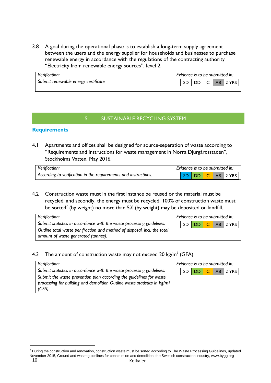3.8 A goal during the operational phase is to establish a long-term supply agreement between the users and the energy supplier for households and businesses to purchase renewable energy in accordance with the regulations of the contracting authority "Electricity from renewable energy sources", level 2.

| Submit renewable energy certificate |  |              |
|-------------------------------------|--|--------------|
|                                     |  | DD C AB 2YRS |

#### 5. SUSTAINABLE RECYCLING SYSTEM

#### **Requirements**

4.1 Apartments and offices shall be designed for source-seperation of waste according to "Requirements and instructions for waste management in Norra Djurgårdsstaden", Stockholms Vatten, May 2016.

| Verification:                                                   | Evidence is to be submitted in: |  |  |  |                 |  |  |
|-----------------------------------------------------------------|---------------------------------|--|--|--|-----------------|--|--|
| According to verification in the requirements and instructions. |                                 |  |  |  | SD DD C AB 2YRS |  |  |

4.2 Construction waste must in the first instance be reused or the material must be recycled, and secondly, the energy must be recycled. 100% of construction waste must be sorted<sup>7</sup> (by weight) no more than 5% (by weight) may be deposited on landfill.

| Verification:                                                                                                   |  | Evidence is to be submitted in: |  |                  |
|-----------------------------------------------------------------------------------------------------------------|--|---------------------------------|--|------------------|
| Submit statistics in accordance with the waste processing guidelines.                                           |  |                                 |  | SD DD C AB 2 YRS |
| Outline total waste per fraction and method of disposal, incl. the total<br>amount of waste generated (tonnes). |  |                                 |  |                  |

#### 4.3 The amount of construction waste may not exceed 20 kg/m $^2$  (GFA)

| Verification:                                                                                                                                                            |  | Evidence is to be submitted in: |  |                  |
|--------------------------------------------------------------------------------------------------------------------------------------------------------------------------|--|---------------------------------|--|------------------|
| Submit statistics in accordance with the waste processing guidelines.                                                                                                    |  |                                 |  | SD DD C AB 2 YRS |
| Submit the waste prevention plan according the guidelines for waste<br>processing for building and demolition Outline waste statistics in kg/m <sup>2</sup><br>$(GFA)$ . |  |                                 |  |                  |

 $\overline{\phantom{a}}$ 

<sup>10</sup> Kolkajen <sup>7</sup> During the construction and renovation, construction waste must be sorted according to The Waste Processing Guidelines, updated November 2015, Ground and waste guidelines for construction and demolition, the Swedish construction industry, www.bygg.org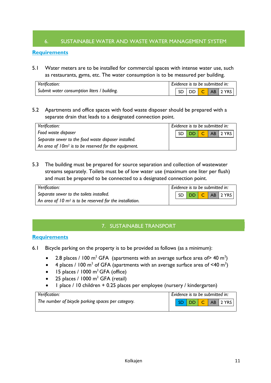#### 6. SUSTAINABLE WATER AND WASTE WATER MANAGEMENT SYSTEM

#### **Requirements**

5.1 Water meters are to be installed for commercial spaces with intense water use, such as restaurants, gyms, etc. The water consumption is to be measured per building.

| Verification:                               | Evidence is to be submitted in: |     |  |  |  |  |
|---------------------------------------------|---------------------------------|-----|--|--|--|--|
| Submit water consumption liters / building. |                                 | SD. |  |  |  |  |

5.2 Apartments and office spaces with food waste disposer should be prepared with a separate drain that leads to a designated connection point.

| Verification:                                                    |  | Evidence is to be submitted in: |  |                  |
|------------------------------------------------------------------|--|---------------------------------|--|------------------|
| Food waste disposer                                              |  |                                 |  | SD DD C AB 2 YRS |
| Separate sewer to the food waste disposer installed.             |  |                                 |  |                  |
| An area of 10m <sup>2</sup> is to be reserved for the equipment. |  |                                 |  |                  |

5.3 The building must be prepared for source separation and collection of wastewater streams separately. Toilets must be of low water use (maximum one liter per flush) and must be prepared to be connected to a designated connection point.

| Verification:                                              | Evidence is to be submitted in: |  |  |  |  |                          |
|------------------------------------------------------------|---------------------------------|--|--|--|--|--------------------------|
| Separate sewer to the toilets installed.                   |                                 |  |  |  |  | SD   DD   C   AB   2 YRS |
| An area of 10 $m2$ is to be reserved for the installation. |                                 |  |  |  |  |                          |

#### 7. SUSTAINABLE TRANSPORT

#### **Requirements**

- 6.1 Bicycle parking on the property is to be provided as follows (as a minimum):
	- 2.8 places / 100 m<sup>2</sup> GFA (apartments with an average surface area of> 40 m<sup>2</sup>)
	- 4 places / 100 m<sup>2</sup> of GFA (apartments with an average surface area of <40 m<sup>2</sup>)
	- $\bullet$  15 places / 1000 m<sup>2</sup> GFA (office)
	- 25 places / 1000 m<sup>2</sup> GFA (retail)
	- 1 place / 10 children + 0.25 places per employee (nursery / kindergarten)

| Verification:                                      |  | Evidence is to be submitted in: |  |                 |
|----------------------------------------------------|--|---------------------------------|--|-----------------|
| The number of bicycle parking spaces per category. |  |                                 |  | SD DD C AB 2YRS |
|                                                    |  |                                 |  |                 |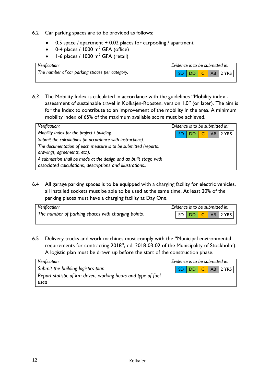- 6.2 Car parking spaces are to be provided as follows:
	- 0.5 space / apartment + 0.02 places for carpooling / apartment.
	- $\bullet$  0-4 places / 1000 m<sup>2</sup> GFA (office)
	- $\bullet$  1-6 places / 1000 m<sup>2</sup> GFA (retail)

| Verification:                                  | Evidence is to be submitted in: |
|------------------------------------------------|---------------------------------|
| The number of car parking spaces per category. | SD   DD   C<br>AB 2 YRS         |
|                                                |                                 |

*6.3* The Mobility Index is calculated in accordance with the guidelines "Mobility index assessment of sustainable travel in Kolkajen-Ropsten, version 1.0" (or later). The aim is for the Index to contribute to an improvement of the mobility in the area. A minimum mobility index of 65% of the maximum available score must be achieved.

| Verification:                                                                                                               | Evidence is to be submitted in:               |  |
|-----------------------------------------------------------------------------------------------------------------------------|-----------------------------------------------|--|
| Mobility Index for the project / building.                                                                                  | <b>C.</b><br>  2 YRS<br>AB<br>SD<br><b>DD</b> |  |
| Submit the calculations (in accordance with instructions).                                                                  |                                               |  |
| The documentation of each measure is to be submitted (reports,<br>drawings, agreements, etc.).                              |                                               |  |
| A submission shall be made at the design and as built stage with<br>associated calculations, descriptions and illustrations |                                               |  |

6.4 All garage parking spaces is to be equipped with a charging facility for electric vehicles, all installed sockets must be able to be used at the same time. At least 20% of the parking places must have a charging facility at Day One.

| Verification:                                      |  | Evidence is to be submitted in: |  |                  |
|----------------------------------------------------|--|---------------------------------|--|------------------|
| The number of parking spaces with charging points. |  |                                 |  | SD DD C AB 2 YRS |
|                                                    |  |                                 |  |                  |

6.5 Delivery trucks and work machines must comply with the "Municipal environmental requirements for contracting 2018", dd. 2018-03-02 of the Municipality of Stockholm). A logistic plan must be drawn up before the start of the construction phase.

| Verification:                                                 | Evidence is to be submitted in: |
|---------------------------------------------------------------|---------------------------------|
| Submit the building logistics plan                            | SD DD C AB 2 YRS                |
| Report statistic of km driven, working hours and type of fuel |                                 |
| used                                                          |                                 |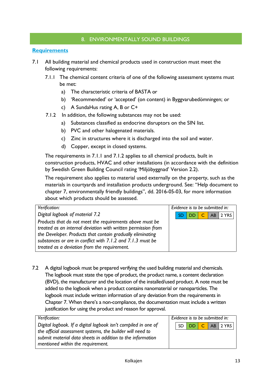#### 8. ENVIRONMENTALLY SOUND BUILDINGS

#### **Requirements**

- 7.1 All building material and chemical products used in construction must meet the following requirements:
	- 7.1.1 The chemical content criteria of one of the following assessment systems must be met:
		- a) The characteristic criteria of BASTA or
		- b) 'Recommended' or 'accepted' (on content) in Byggvarubedömningen; or
		- c) A SundaHus rating A, B or C+
	- 7.1.2 In addition, the following substances may not be used:
		- a) Substances classified as endocrine disruptors on the SIN list.
		- b) PVC and other halogenated materials.
		- c) Zinc in structures where it is discharged into the soil and water.
		- d) Copper, except in closed systems.

The requirements in 7.1.1 and 7.1.2 applies to all chemical products, built in construction products, HVAC and other installations (in accordance with the definition by Swedish Green Building Council rating 'Miljöbyggnad' Version 2.2).

The requirement also applies to material used externally on the property, such as the materials in courtyards and installation products underground. See: "Help document to chapter 7, environmentally friendly buildings", dd. 2016-05-03, for more information about which products should be assessed.

| Verification:                                                 | Evidence is to be submitted in: |  |  |  |  |  |  |  |  |
|---------------------------------------------------------------|---------------------------------|--|--|--|--|--|--|--|--|
| Digital logbook of material 7.2                               | C AB 2 YRS<br>DD.               |  |  |  |  |  |  |  |  |
| Products that do not meet the requirements above must be      |                                 |  |  |  |  |  |  |  |  |
| treated as an internal deviation with written permission from |                                 |  |  |  |  |  |  |  |  |
| the Developer. Products that contain gradually eliminating    |                                 |  |  |  |  |  |  |  |  |
| substances or are in conflict with 7.1.2 and 7.1.3 must be    |                                 |  |  |  |  |  |  |  |  |
| treated as a deviation from the requirement.                  |                                 |  |  |  |  |  |  |  |  |

7.2 A digital logbook must be prepared verifying the used building material and chemicals. The logbook must state the type of product, the product name, a content declaration (BVD), the manufacturer and the location of the installed/used product. A note must be added to the logbook when a product contains nanomaterial or nanoparticles. The logbook must include written information of any deviation from the requirements in Chapter 7. When there's a non-compliance, the documentation must include a written justification for using the product and reason for approval.

| <b>Verification:</b>                                           | Evidence is to be submitted in: |  |
|----------------------------------------------------------------|---------------------------------|--|
| Digital logbook. If a digital logbook isn't compiled in one of | SD DD C AB 2 YRS                |  |
| the official assessment systems, the builder will need to      |                                 |  |
| submit material data sheets in addition to the information     |                                 |  |
| mentioned within the requirement.                              |                                 |  |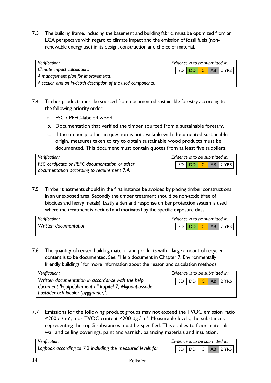7.3 The building frame, including the basement and building fabric, must be optimized from an LCA perspective with regard to climate impact and the emission of fossil fuels (nonrenewable energy use) in its design, construction and choice of material.

| Verification:                                                 | Evidence is to be submitted in: |  |  |  |  |                  |  |  |  |
|---------------------------------------------------------------|---------------------------------|--|--|--|--|------------------|--|--|--|
| Climate impact calculations                                   |                                 |  |  |  |  | SD DD C AB 2 YRS |  |  |  |
| A management plan for improvements.                           |                                 |  |  |  |  |                  |  |  |  |
| A section and an in-depth description of the used components. |                                 |  |  |  |  |                  |  |  |  |

- 7.4 Timber products must be sourced from documented sustainable forestry according to the following priority order:
	- a. FSC / PEFC-labeled wood.
	- b. Documentation that verified the timber sourced from a sustainable forestry.
	- c. If the timber product in question is not available with documented sustainable origin, measures taken to try to obtain sustainable wood products must be documented. This document must contain quotes from at least five suppliers.

| Verification:                                         | Evidence is to be submitted in: |  |  |  |  |                 |  |  |  |
|-------------------------------------------------------|---------------------------------|--|--|--|--|-----------------|--|--|--|
| <b>FSC</b> certificate or PEFC documentation or other |                                 |  |  |  |  | SD DD C AB 2YRS |  |  |  |
| documentation according to requirement 7.4.           |                                 |  |  |  |  |                 |  |  |  |

7.5 Timber treatments should in the first instance be avoided by placing timber constructions in an unexposed area. Secondly the timber treatment should be non-toxic (free of biocides and heavy metals). Lastly a demand response timber protection system is used where the treatment is decided and motivated by the specific exposure class.

| Verification:          | Evidence is to be submitted in: |  |           |  |  |                      |  |  |  |
|------------------------|---------------------------------|--|-----------|--|--|----------------------|--|--|--|
| Written documentation. |                                 |  | <b>DD</b> |  |  | AB <sub>12</sub> YRS |  |  |  |
|                        |                                 |  |           |  |  |                      |  |  |  |

7.6 The quantity of reused building material and products with a large amount of recycled content is to be documented. See: "Help document in Chapter 7, Environmentally friendly buildings" for more information about the reason and calculation methods.

| Verification:                                                                                                                                     | Evidence is to be submitted in: |  |  |  |  |                  |  |  |  |
|---------------------------------------------------------------------------------------------------------------------------------------------------|---------------------------------|--|--|--|--|------------------|--|--|--|
| Written documentation in accordance with the help<br>document 'Hjälpdokument till kapitel 7, Miljöanpassade<br>bostäder och localer (byggnader)'. |                                 |  |  |  |  | SD DD C AB 2 YRS |  |  |  |

7.7 Emissions for the following product groups may not exceed the TVOC emission ratio  $\leq$ 200 g / m<sup>2</sup>, h or TVOC content  $\leq$ 200 µg / m<sup>3</sup>. Measurable levels, the substances representing the top 5 substances must be specified. This applies to floor materials, wall and ceiling coverings, paint and varnish, balancing materials and insulation.

| Verification:                                              | Evidence is to be submitted in: |  |  |  |  |                 |  |  |
|------------------------------------------------------------|---------------------------------|--|--|--|--|-----------------|--|--|
| Logbook according to 7.2 including the measured levels for |                                 |  |  |  |  | SD DD C AB 2YRS |  |  |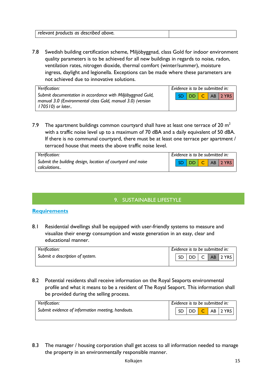| relevant products as described above. |  |
|---------------------------------------|--|
|                                       |  |

7.8 Swedish building certification scheme, Miljöbyggnad, class Gold for indoor environment quality parameters is to be achieved for all new buildings in regards to noise, radon, ventilation rates, nitrogen dioxide, thermal comfort (winter/summer), moisture ingress, daylight and legionella. Exceptions can be made where these parameters are not achieved due to innovative solutions.

| Verification:                                                                                                            | Evidence is to be submitted in: |  |  |  |  |                  |  |  |  |
|--------------------------------------------------------------------------------------------------------------------------|---------------------------------|--|--|--|--|------------------|--|--|--|
| Submit documentation in accordance with Miljöbyggnad Guld,<br>manual 3.0 (Environmental class Gold, manual 3.0) (version |                                 |  |  |  |  | SD DD C AB 2 YRS |  |  |  |
| 170510) or later                                                                                                         |                                 |  |  |  |  |                  |  |  |  |

7.9  $\,$  The apartment buildings common courtyard shall have at least one terrace of 20  $\mathrm{m}^{2}$ with a traffic noise level up to a maximum of 70 dBA and a daily equivalent of 50 dBA. If there is no communal courtyard, there must be at least one terrace per apartment / terraced house that meets the above traffic noise level.

| Verification:                                               | Evidence is to be submitted in: |  |  |  |  |                 |  |  |  |
|-------------------------------------------------------------|---------------------------------|--|--|--|--|-----------------|--|--|--|
| Submit the building design, location of courtyard and noise |                                 |  |  |  |  | SD DD C AB 2YRS |  |  |  |
| calculations                                                |                                 |  |  |  |  |                 |  |  |  |

#### 9. SUSTAINABLE LIFESTYLE

#### **Requirements**

8.1 Residential dwellings shall be equipped with user-friendly systems to measure and visualize their energy consumption and waste generation in an easy, clear and educational manner.

| Verification:                   | Evidence is to be submitted in: |       |  |  |  |                                                       |  |  |  |
|---------------------------------|---------------------------------|-------|--|--|--|-------------------------------------------------------|--|--|--|
| Submit a description of system. |                                 | -SD - |  |  |  | $\vert$ DD $\vert$ C $\vert$ AB $\vert$ 2 YRS $\vert$ |  |  |  |
|                                 |                                 |       |  |  |  |                                                       |  |  |  |

8.2 Potential residents shall receive information on the Royal Seaports environmental profile and what it means to be a resident of The Royal Seaport. This information shall be provided during the selling process.

| Verification:                                     | Evidence is to be submitted in: |  |         |  |  |          |  |  |  |
|---------------------------------------------------|---------------------------------|--|---------|--|--|----------|--|--|--|
| Submit evidence of information meeting, handouts. |                                 |  | SD DD C |  |  | AB 2 YRS |  |  |  |
|                                                   |                                 |  |         |  |  |          |  |  |  |

8.3 The manager / housing corporation shall get access to all information needed to manage the property in an environmentally responsible manner.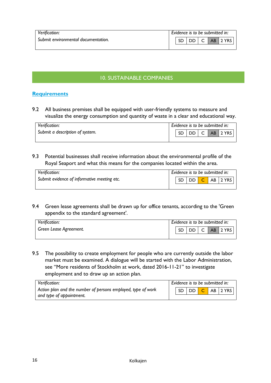| Verification:                       | Evidence is to be submitted in: |  |      |  |  |                                   |
|-------------------------------------|---------------------------------|--|------|--|--|-----------------------------------|
| Submit environmental documentation. |                                 |  | DD I |  |  | AB <sub>12</sub> YRS <sub>1</sub> |
|                                     |                                 |  |      |  |  |                                   |

#### 10. SUSTAINABLE COMPANIES

#### **Requirements**

9.2 All business premises shall be equipped with user-friendly systems to measure and visualize the energy consumption and quantity of waste in a clear and educational way.

| Verification:                   | Evidence is to be submitted in: |  |  |  |  |                          |
|---------------------------------|---------------------------------|--|--|--|--|--------------------------|
| Submit a description of system. |                                 |  |  |  |  | SD   DD   C   AB   2 YRS |
|                                 |                                 |  |  |  |  |                          |

9.3 Potential businesses shall receive information about the environmental profile of the Royal Seaport and what this means for the companies located within the area.

| Verification:                               | Evidence is to be submitted in: |     |  |  |  |                            |
|---------------------------------------------|---------------------------------|-----|--|--|--|----------------------------|
| Submit evidence of informative meeting etc. |                                 | SD. |  |  |  | DD <mark>C</mark> AB 2 YRS |
|                                             |                                 |     |  |  |  |                            |

9.4 Green lease agreements shall be drawn up for office tenants, according to the 'Green appendix to the standard agreement'.

| Verification:          | Evidence is to be submitted in: |           |      |              |  |          |
|------------------------|---------------------------------|-----------|------|--------------|--|----------|
| Green Lease Agreement. |                                 | <b>SD</b> | DD I | $\mathsf{C}$ |  | AB 2 YRS |
|                        |                                 |           |      |              |  |          |

9.5 The possibility to create employment for people who are currently outside the labor market must be examined. A dialogue will be started with the Labor Administration, see "More residents of Stockholm at work, dated 2016-11-21" to investigate employment and to draw up an action plan.

| Verification:                                                | Evidence is to be submitted in: |  |  |  |  |                                                        |
|--------------------------------------------------------------|---------------------------------|--|--|--|--|--------------------------------------------------------|
| Action plan and the number of persons employed, type of work |                                 |  |  |  |  | $\sqrt{SD}$ $\boxed{DD}$ $\boxed{C}$ AB $\sqrt{2}$ YRS |
| and type of appointment.                                     |                                 |  |  |  |  |                                                        |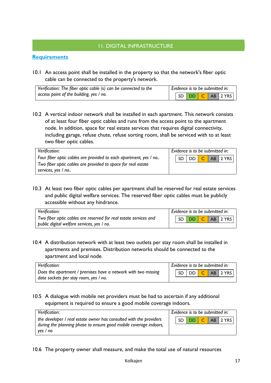#### 11. DIGITAL INFRASTRUCTURE

#### **Requirements**

10.1 An access point shall be installed in the property so that the network's fiber optic cable can be connected to the property's network.

| Verification: The fiber optic cable (s) can be connected to the |  | Evidence is to be submitted in: |  |                      |
|-----------------------------------------------------------------|--|---------------------------------|--|----------------------|
| access point of the building, yes / no.                         |  |                                 |  | $S D D D C AB 2 YRS$ |

10.2 A vertical indoor network shall be installed in each apartment. This network consists of at least four fiber optic cables and runs from the access point to the apartment node. In addition, space for real estate services that requires digital connectivity, including garage, refuse chute, refuse sorting room, shall be serviced with to at least two fiber optic cables.

| Verification:                                                    | Evidence is to be submitted in: |
|------------------------------------------------------------------|---------------------------------|
| Four fiber optic cables are provided to each apartment, yes / no | $DD$ $C$ AB 2 YRS<br>SD.        |
| Two fiber optic cables are provided to space for real estate     |                                 |
| services, yes / no                                               |                                 |

10.3 At least two fiber optic cables per apartment shall be reserved for real estate services and public digital welfare services. The reserved fiber optic cables must be publicly accessible without any hindrance.

| Verification:                                                    | Evidence is to be submitted in: |  |  |  |  |                  |
|------------------------------------------------------------------|---------------------------------|--|--|--|--|------------------|
| Two fiber optic cables are reserved for real estate services and |                                 |  |  |  |  | SD DD C AB 2 YRS |
| public digital welfare services, yes / no.                       |                                 |  |  |  |  |                  |

10.4 A distribution network with at least two outlets per stay room shall be installed in apartments and premises. Distribution networks should be connected to the apartment and local node.

| Verification:                                                 | Evidence is to be submitted in: |  |  |  |  |                  |
|---------------------------------------------------------------|---------------------------------|--|--|--|--|------------------|
| Does the apartment / premises have a network with two missing |                                 |  |  |  |  | SD DD C AB 2 YRS |
| data sockets per stay room, yes / no.                         |                                 |  |  |  |  |                  |

#### 10.5 A dialogue with mobile net providers must be had to ascertain if any additional equipment is required to ensure a good mobile coverage indoors.

| Verification:                                                      | Evidence is to be submitted in: |  |  |  |  |                  |
|--------------------------------------------------------------------|---------------------------------|--|--|--|--|------------------|
| the developer / real estate owner has consulted with the providers |                                 |  |  |  |  | SD DD C AB 2 YRS |
| during the planning phase to ensure good mobile coverage indoors,  |                                 |  |  |  |  |                  |
| yes / no                                                           |                                 |  |  |  |  |                  |

10.6 The property owner shall measure, and make the total use of natural resources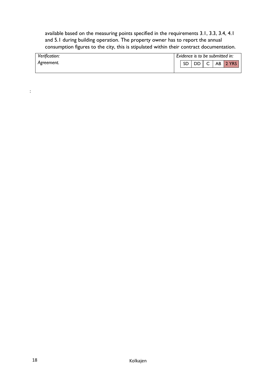available based on the measuring points specified in the requirements 3.1, 3.3, 3.4, 4.1 and 5.1 during building operation. The property owner has to report the annual consumption figures to the city, this is stipulated within their contract documentation.

| Verification: | Evidence is to be submitted in: |
|---------------|---------------------------------|
| Agreement.    | DD I<br>, C<br>AB 2 YRS<br>SD   |
|               |                                 |

: